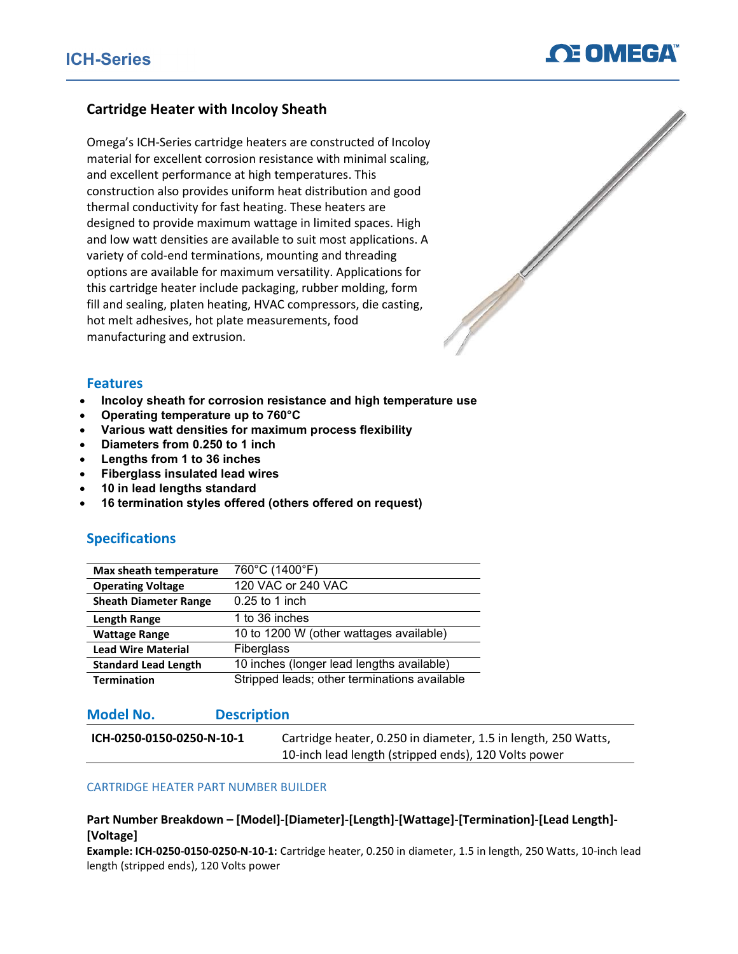## Cartridge Heater with Incoloy Sheath

Omega's ICH-Series cartridge heaters are constructed of Incoloy material for excellent corrosion resistance with minimal scaling, and excellent performance at high temperatures. This construction also provides uniform heat distribution and good thermal conductivity for fast heating. These heaters are designed to provide maximum wattage in limited spaces. High and low watt densities are available to suit most applications. A variety of cold-end terminations, mounting and threading options are available for maximum versatility. Applications for this cartridge heater include packaging, rubber molding, form fill and sealing, platen heating, HVAC compressors, die casting, hot melt adhesives, hot plate measurements, food manufacturing and extrusion.



#### Features

- Incoloy sheath for corrosion resistance and high temperature use
- Operating temperature up to 760°C
- Various watt densities for maximum process flexibility
- Diameters from 0.250 to 1 inch
- Lengths from 1 to 36 inches
- Fiberglass insulated lead wires
- 10 in lead lengths standard
- 16 termination styles offered (others offered on request)

### Specifications

| Max sheath temperature       | 760°C (1400°F)                               |
|------------------------------|----------------------------------------------|
| <b>Operating Voltage</b>     | 120 VAC or 240 VAC                           |
| <b>Sheath Diameter Range</b> | $0.25$ to 1 inch                             |
| <b>Length Range</b>          | 1 to 36 inches                               |
| <b>Wattage Range</b>         | 10 to 1200 W (other wattages available)      |
| <b>Lead Wire Material</b>    | Fiberglass                                   |
| <b>Standard Lead Length</b>  | 10 inches (longer lead lengths available)    |
| <b>Termination</b>           | Stripped leads; other terminations available |

### Model No. Description

| ICH-0250-0150-0250-N-10-1 | Cartridge heater, 0.250 in diameter, 1.5 in length, 250 Watts, |
|---------------------------|----------------------------------------------------------------|
|                           | 10-inch lead length (stripped ends), 120 Volts power           |

#### CARTRIDGE HEATER PART NUMBER BUILDER

#### Part Number Breakdown – [Model]-[Diameter]-[Length]-[Wattage]-[Termination]-[Lead Length]- [Voltage]

Example: ICH-0250-0150-0250-N-10-1: Cartridge heater, 0.250 in diameter, 1.5 in length, 250 Watts, 10-inch lead length (stripped ends), 120 Volts power